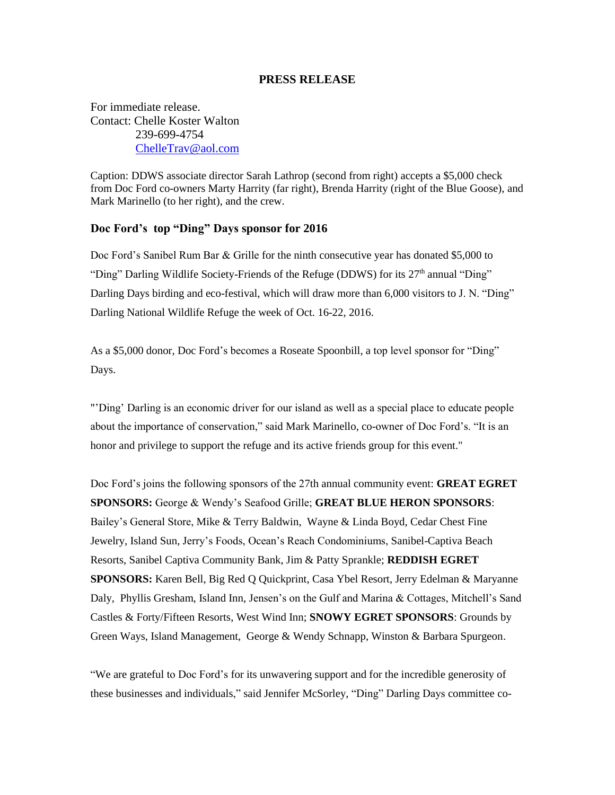## **PRESS RELEASE**

For immediate release. Contact: Chelle Koster Walton 239-699-4754 [ChelleTrav@aol.com](mailto:ChelleTrav@aol.com)

Caption: DDWS associate director Sarah Lathrop (second from right) accepts a \$5,000 check from Doc Ford co-owners Marty Harrity (far right), Brenda Harrity (right of the Blue Goose), and Mark Marinello (to her right), and the crew.

## **Doc Ford's top "Ding" Days sponsor for 2016**

Doc Ford's Sanibel Rum Bar & Grille for the ninth consecutive year has donated \$5,000 to "Ding" Darling Wildlife Society-Friends of the Refuge (DDWS) for its 27<sup>th</sup> annual "Ding" Darling Days birding and eco-festival, which will draw more than 6,000 visitors to J. N. "Ding" Darling National Wildlife Refuge the week of Oct. 16-22, 2016.

As a \$5,000 donor, Doc Ford's becomes a Roseate Spoonbill, a top level sponsor for "Ding" Days.

"'Ding' Darling is an economic driver for our island as well as a special place to educate people about the importance of conservation," said Mark Marinello, co-owner of Doc Ford's. "It is an honor and privilege to support the refuge and its active friends group for this event."

Doc Ford's joins the following sponsors of the 27th annual community event: **GREAT EGRET SPONSORS:** George & Wendy's Seafood Grille; **GREAT BLUE HERON SPONSORS**: Bailey's General Store, Mike & Terry Baldwin, Wayne & Linda Boyd, Cedar Chest Fine Jewelry, Island Sun, Jerry's Foods, Ocean's Reach Condominiums, Sanibel-Captiva Beach Resorts, Sanibel Captiva Community Bank, Jim & Patty Sprankle; **REDDISH EGRET SPONSORS:** Karen Bell, Big Red Q Quickprint, Casa Ybel Resort, Jerry Edelman & Maryanne Daly, Phyllis Gresham, Island Inn, Jensen's on the Gulf and Marina & Cottages, Mitchell's Sand Castles & Forty/Fifteen Resorts, West Wind Inn; **SNOWY EGRET SPONSORS**: Grounds by Green Ways, Island Management, George & Wendy Schnapp, Winston & Barbara Spurgeon.

"We are grateful to Doc Ford's for its unwavering support and for the incredible generosity of these businesses and individuals," said Jennifer McSorley, "Ding" Darling Days committee co-